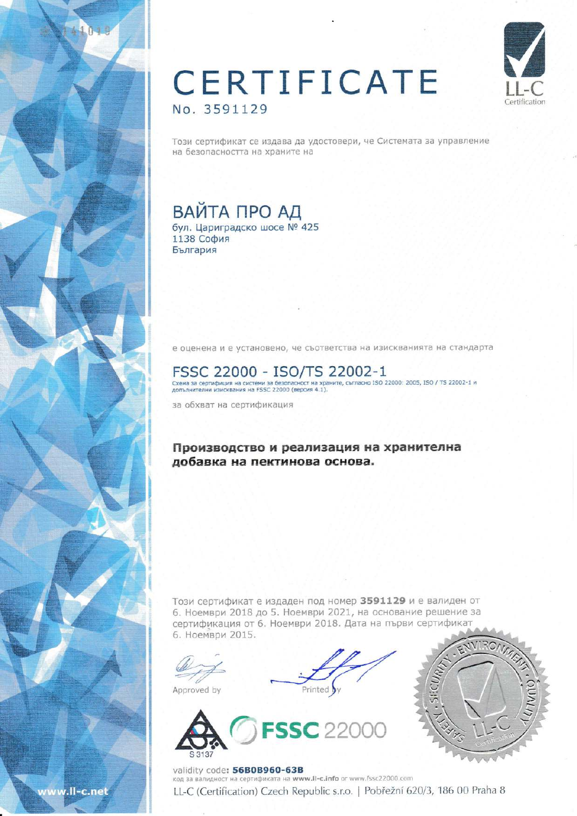## CERTIFICATE No. 3591129



Този сертификат се издава да удостовери, че Системата за управление на безопасността на храните на

## ВАЙТА ПРО АД

бул. Цариградско шосе № 425 1138 София България

е оценена и е установено, че съответства на изискванията на стандарта

## FSSC 22000 - ISO/TS 22002-1

Схема за сертифиция на системи за безопасност на храните, съгласно ISO 22000: 2005, ISO / TS 22002-1 и<br>допълнителни изисквания на FSSC 22000 (версия 4.1).

за обхват на сертификация

### Производство и реализация на хранителна добавка на пектинова основа.

Този сертификат е издаден под номер 3591129 и е валиден от 6. Ноември 2018 до 5. Ноември 2021, на основание решение за сертификация от 6. Ноември 2018. Дата на първи сертификат 6. Ноември 2015.

Approved by





validity code: 56B0B960-63B код за валидност на сертификата на www.II-c.info or www.fssc22000.com LL-C (Certification) Czech Republic s.r.o. | Pobřežní 620/3, 186 00 Praha 8